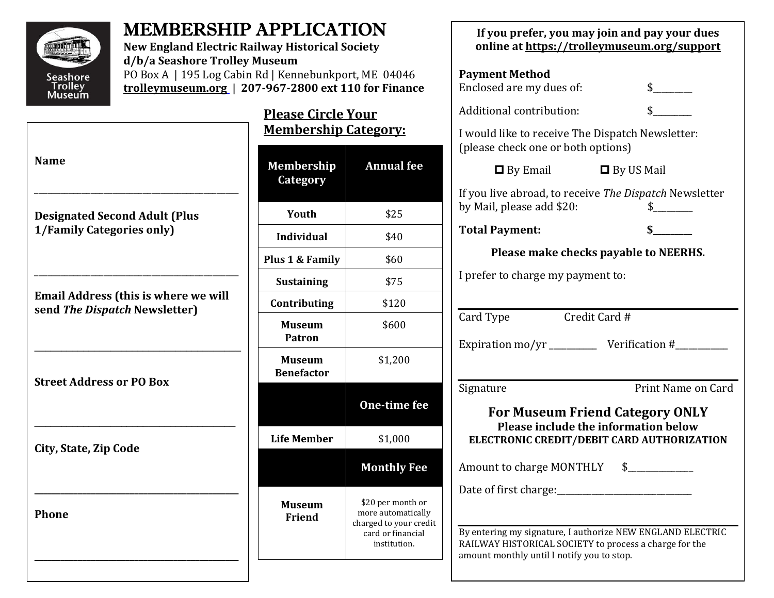

**Name**

## MEMBERSHIP APPLICATION

**New England Electric Railway Historical Society d/b/a Seashore Trolley Museum** PO Box A | 195 Log Cabin Rd | Kennebunkport, ME 04046

**Please Circle Your Membership Category: <trolleymuseum.org>** | **207-967-2800 ext 110 for Finance**

**Phone**

| ічаше                                                                        | <b>Membership</b><br>Category      | <b>Annual</b> fee                                                                                      |
|------------------------------------------------------------------------------|------------------------------------|--------------------------------------------------------------------------------------------------------|
| <b>Designated Second Adult (Plus</b>                                         | Youth                              | \$25                                                                                                   |
| 1/Family Categories only)                                                    | <b>Individual</b>                  | \$40                                                                                                   |
|                                                                              | Plus 1 & Family                    | \$60                                                                                                   |
|                                                                              | <b>Sustaining</b>                  | \$75                                                                                                   |
| <b>Email Address (this is where we will</b><br>send The Dispatch Newsletter) | Contributing                       | \$120                                                                                                  |
|                                                                              | <b>Museum</b><br><b>Patron</b>     | \$600                                                                                                  |
| <b>Street Address or PO Box</b>                                              | <b>Museum</b><br><b>Benefactor</b> | \$1,200                                                                                                |
|                                                                              |                                    | One-time fee                                                                                           |
| City, State, Zip Code                                                        | <b>Life Member</b>                 | \$1,000                                                                                                |
|                                                                              |                                    | <b>Monthly Fee</b>                                                                                     |
| Phone                                                                        | <b>Museum</b><br>Friend            | \$20 per month or<br>more automatically<br>charged to your credit<br>card or financial<br>institution. |
|                                                                              |                                    |                                                                                                        |

| If you prefer, you may join and pay your dues<br>online at https://trolleymuseum.org/support                                        |                    |  |  |  |  |
|-------------------------------------------------------------------------------------------------------------------------------------|--------------------|--|--|--|--|
| <b>Payment Method</b><br>Enclosed are my dues of:                                                                                   | $\frac{1}{2}$      |  |  |  |  |
| Additional contribution:                                                                                                            | $\frac{1}{2}$      |  |  |  |  |
| I would like to receive The Dispatch Newsletter:<br>(please check one or both options)                                              |                    |  |  |  |  |
| $\Box$ By Email                                                                                                                     | $\Box$ By US Mail  |  |  |  |  |
| If you live abroad, to receive The Dispatch Newsletter<br>by Mail, please add \$20:                                                 |                    |  |  |  |  |
| <b>Total Payment:</b>                                                                                                               |                    |  |  |  |  |
| Please make checks payable to NEERHS.                                                                                               |                    |  |  |  |  |
| I prefer to charge my payment to:                                                                                                   |                    |  |  |  |  |
|                                                                                                                                     |                    |  |  |  |  |
| Card Type                                                                                                                           | Credit Card #      |  |  |  |  |
| Expiration mo/yr _____________ Verification #__________                                                                             |                    |  |  |  |  |
| Signature                                                                                                                           | Print Name on Card |  |  |  |  |
| <b>For Museum Friend Category ONLY</b><br><b>Please include the information below</b><br>ELECTRONIC CREDIT/DEBIT CARD AUTHORIZATION |                    |  |  |  |  |
| Amount to charge MONTHLY                                                                                                            | $\frac{1}{2}$      |  |  |  |  |
| Date of first charge:                                                                                                               |                    |  |  |  |  |
| By entering my signature, I authorize NEW ENGLAND ELECTRIC                                                                          |                    |  |  |  |  |
| RAILWAY HISTORICAL SOCIETY to process a charge for the<br>amount monthly until I notify you to stop.                                |                    |  |  |  |  |